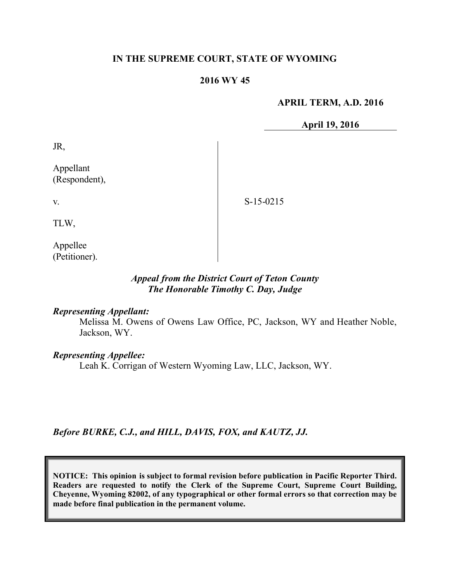#### **IN THE SUPREME COURT, STATE OF WYOMING**

#### **2016 WY 45**

#### **APRIL TERM, A.D. 2016**

**April 19, 2016**

JR,

Appellant (Respondent),

S-15-0215

TLW,

v.

Appellee (Petitioner).

## *Appeal from the District Court of Teton County The Honorable Timothy C. Day, Judge*

#### *Representing Appellant:*

Melissa M. Owens of Owens Law Office, PC, Jackson, WY and Heather Noble, Jackson, WY.

# *Representing Appellee:*

Leah K. Corrigan of Western Wyoming Law, LLC, Jackson, WY.

*Before BURKE, C.J., and HILL, DAVIS, FOX, and KAUTZ, JJ.*

**NOTICE: This opinion is subject to formal revision before publication in Pacific Reporter Third. Readers are requested to notify the Clerk of the Supreme Court, Supreme Court Building, Cheyenne, Wyoming 82002, of any typographical or other formal errors so that correction may be made before final publication in the permanent volume.**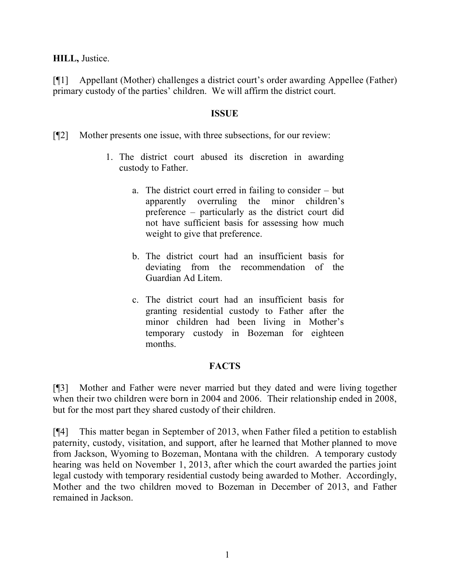## **HILL,** Justice.

[¶1] Appellant (Mother) challenges a district court's order awarding Appellee (Father) primary custody of the parties' children. We will affirm the district court.

## **ISSUE**

[¶2] Mother presents one issue, with three subsections, for our review:

- 1. The district court abused its discretion in awarding custody to Father.
	- a. The district court erred in failing to consider but apparently overruling the minor children's preference – particularly as the district court did not have sufficient basis for assessing how much weight to give that preference.
	- b. The district court had an insufficient basis for deviating from the recommendation of the Guardian Ad Litem.
	- c. The district court had an insufficient basis for granting residential custody to Father after the minor children had been living in Mother's temporary custody in Bozeman for eighteen months.

# **FACTS**

[¶3] Mother and Father were never married but they dated and were living together when their two children were born in 2004 and 2006. Their relationship ended in 2008, but for the most part they shared custody of their children.

[¶4] This matter began in September of 2013, when Father filed a petition to establish paternity, custody, visitation, and support, after he learned that Mother planned to move from Jackson, Wyoming to Bozeman, Montana with the children. A temporary custody hearing was held on November 1, 2013, after which the court awarded the parties joint legal custody with temporary residential custody being awarded to Mother. Accordingly, Mother and the two children moved to Bozeman in December of 2013, and Father remained in Jackson.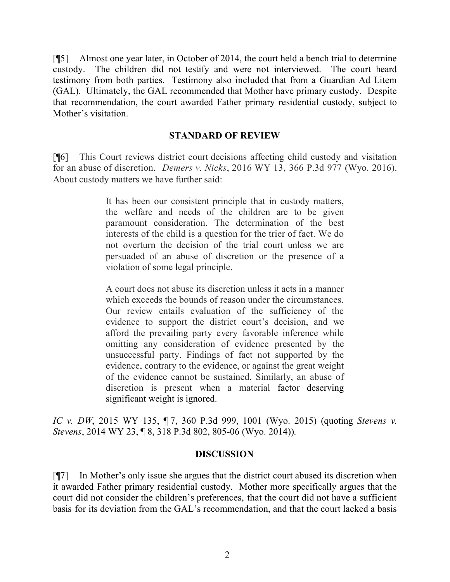[¶5] Almost one year later, in October of 2014, the court held a bench trial to determine custody. The children did not testify and were not interviewed. The court heard testimony from both parties. Testimony also included that from a Guardian Ad Litem (GAL). Ultimately, the GAL recommended that Mother have primary custody. Despite that recommendation, the court awarded Father primary residential custody, subject to Mother's visitation.

#### **STANDARD OF REVIEW**

[¶6] This Court reviews district court decisions affecting child custody and visitation for an abuse of discretion. *Demers v. Nicks*, 2016 WY 13, 366 P.3d 977 (Wyo. 2016). About custody matters we have further said:

> It has been our consistent principle that in custody matters, the welfare and needs of the children are to be given paramount consideration. The determination of the best interests of the child is a question for the trier of fact. We do not overturn the decision of the trial court unless we are persuaded of an abuse of discretion or the presence of a violation of some legal principle.

> A court does not abuse its discretion unless it acts in a manner which exceeds the bounds of reason under the circumstances. Our review entails evaluation of the sufficiency of the evidence to support the district court's decision, and we afford the prevailing party every favorable inference while omitting any consideration of evidence presented by the unsuccessful party. Findings of fact not supported by the evidence, contrary to the evidence, or against the great weight of the evidence cannot be sustained. Similarly, an abuse of discretion is present when a material factor deserving significant weight is ignored.

*IC v. DW*, 2015 WY 135, ¶ 7, 360 P.3d 999, 1001 (Wyo. 2015) (quoting *Stevens v. Stevens*, 2014 WY 23, ¶ 8, 318 P.3d 802, 805-06 (Wyo. 2014)).

#### **DISCUSSION**

[¶7] In Mother's only issue she argues that the district court abused its discretion when it awarded Father primary residential custody. Mother more specifically argues that the court did not consider the children's preferences, that the court did not have a sufficient basis for its deviation from the GAL's recommendation, and that the court lacked a basis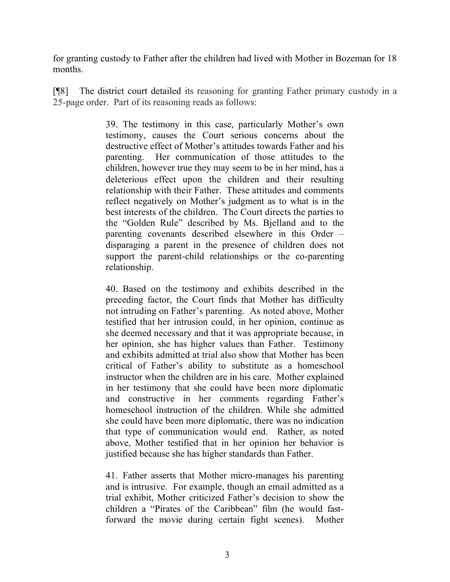for granting custody to Father after the children had lived with Mother in Bozeman for 18 months.

[¶8] The district court detailed its reasoning for granting Father primary custody in a 25-page order. Part of its reasoning reads as follows:

> 39. The testimony in this case, particularly Mother's own testimony, causes the Court serious concerns about the destructive effect of Mother's attitudes towards Father and his parenting. Her communication of those attitudes to the children, however true they may seem to be in her mind, has a deleterious effect upon the children and their resulting relationship with their Father. These attitudes and comments reflect negatively on Mother's judgment as to what is in the best interests of the children. The Court directs the parties to the "Golden Rule" described by Ms. Bjelland and to the parenting covenants described elsewhere in this Order – disparaging a parent in the presence of children does not support the parent-child relationships or the co-parenting relationship.

> 40. Based on the testimony and exhibits described in the preceding factor, the Court finds that Mother has difficulty not intruding on Father's parenting. As noted above, Mother testified that her intrusion could, in her opinion, continue as she deemed necessary and that it was appropriate because, in her opinion, she has higher values than Father. Testimony and exhibits admitted at trial also show that Mother has been critical of Father's ability to substitute as a homeschool instructor when the children are in his care. Mother explained in her testimony that she could have been more diplomatic and constructive in her comments regarding Father's homeschool instruction of the children. While she admitted she could have been more diplomatic, there was no indication that type of communication would end. Rather, as noted above, Mother testified that in her opinion her behavior is justified because she has higher standards than Father.

> 41. Father asserts that Mother micro-manages his parenting and is intrusive. For example, though an email admitted as a trial exhibit, Mother criticized Father's decision to show the children a "Pirates of the Caribbean" film (he would fastforward the movie during certain fight scenes). Mother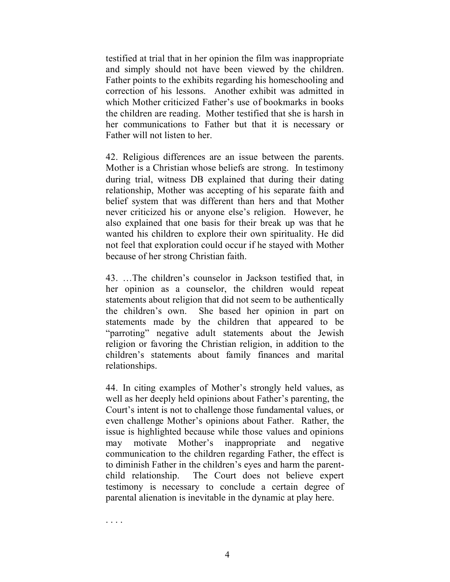testified at trial that in her opinion the film was inappropriate and simply should not have been viewed by the children. Father points to the exhibits regarding his homeschooling and correction of his lessons. Another exhibit was admitted in which Mother criticized Father's use of bookmarks in books the children are reading. Mother testified that she is harsh in her communications to Father but that it is necessary or Father will not listen to her.

42. Religious differences are an issue between the parents. Mother is a Christian whose beliefs are strong. In testimony during trial, witness DB explained that during their dating relationship, Mother was accepting of his separate faith and belief system that was different than hers and that Mother never criticized his or anyone else's religion. However, he also explained that one basis for their break up was that he wanted his children to explore their own spirituality. He did not feel that exploration could occur if he stayed with Mother because of her strong Christian faith.

43. …The children's counselor in Jackson testified that, in her opinion as a counselor, the children would repeat statements about religion that did not seem to be authentically the children's own. She based her opinion in part on statements made by the children that appeared to be "parroting" negative adult statements about the Jewish religion or favoring the Christian religion, in addition to the children's statements about family finances and marital relationships.

44. In citing examples of Mother's strongly held values, as well as her deeply held opinions about Father's parenting, the Court's intent is not to challenge those fundamental values, or even challenge Mother's opinions about Father. Rather, the issue is highlighted because while those values and opinions may motivate Mother's inappropriate and negative communication to the children regarding Father, the effect is to diminish Father in the children's eyes and harm the parentchild relationship. The Court does not believe expert testimony is necessary to conclude a certain degree of parental alienation is inevitable in the dynamic at play here.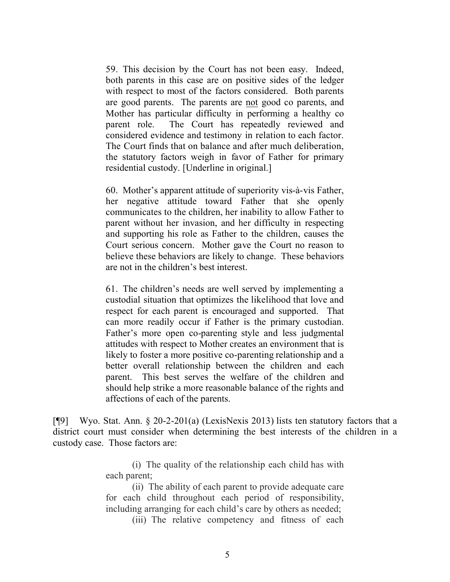59. This decision by the Court has not been easy. Indeed, both parents in this case are on positive sides of the ledger with respect to most of the factors considered. Both parents are good parents. The parents are not good co parents, and Mother has particular difficulty in performing a healthy co parent role. The Court has repeatedly reviewed and considered evidence and testimony in relation to each factor. The Court finds that on balance and after much deliberation, the statutory factors weigh in favor of Father for primary residential custody. [Underline in original.]

60. Mother's apparent attitude of superiority vis-à-vis Father, her negative attitude toward Father that she openly communicates to the children, her inability to allow Father to parent without her invasion, and her difficulty in respecting and supporting his role as Father to the children, causes the Court serious concern. Mother gave the Court no reason to believe these behaviors are likely to change. These behaviors are not in the children's best interest.

61. The children's needs are well served by implementing a custodial situation that optimizes the likelihood that love and respect for each parent is encouraged and supported. That can more readily occur if Father is the primary custodian. Father's more open co-parenting style and less judgmental attitudes with respect to Mother creates an environment that is likely to foster a more positive co-parenting relationship and a better overall relationship between the children and each parent. This best serves the welfare of the children and should help strike a more reasonable balance of the rights and affections of each of the parents.

[¶9] Wyo. Stat. Ann. § 20-2-201(a) (LexisNexis 2013) lists ten statutory factors that a district court must consider when determining the best interests of the children in a custody case. Those factors are:

> (i) The quality of the relationship each child has with each parent;

> (ii) The ability of each parent to provide adequate care for each child throughout each period of responsibility, including arranging for each child's care by others as needed;

(iii) The relative competency and fitness of each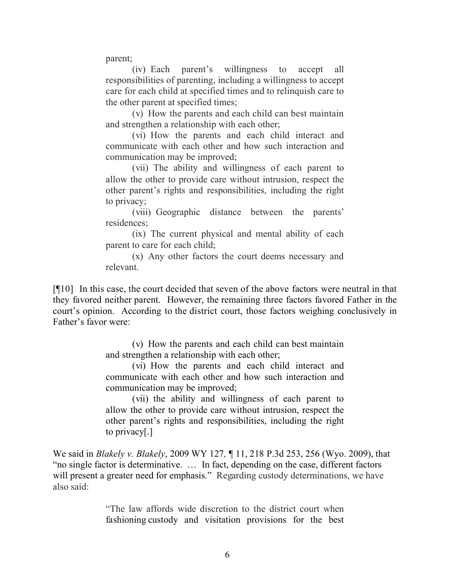parent;

(iv) Each parent's willingness to accept all responsibilities of parenting, including a willingness to accept care for each child at specified times and to relinquish care to the other parent at specified times;

(v) How the parents and each child can best maintain and strengthen a relationship with each other;

(vi) How the parents and each child interact and communicate with each other and how such interaction and communication may be improved;

(vii) The ability and willingness of each parent to allow the other to provide care without intrusion, respect the other parent's rights and responsibilities, including the right to privacy;

(viii) Geographic distance between the parents' residences;

(ix) The current physical and mental ability of each parent to care for each child;

(x) Any other factors the court deems necessary and relevant.

[¶10] In this case, the court decided that seven of the above factors were neutral in that they favored neither parent. However, the remaining three factors favored Father in the court's opinion. According to the district court, those factors weighing conclusively in Father's favor were:

> (v) How the parents and each child can best maintain and strengthen a relationship with each other;

> (vi) How the parents and each child interact and communicate with each other and how such interaction and communication may be improved;

> (vii) the ability and willingness of each parent to allow the other to provide care without intrusion, respect the other parent's rights and responsibilities, including the right to privacy[.]

We said in *Blakely v. Blakely*, 2009 WY 127*,* ¶ 11, 218 P.3d 253, 256 (Wyo. 2009), that "no single factor is determinative. … In fact, depending on the case, different factors will present a greater need for emphasis." Regarding custody determinations, we have also said:

> "The law affords wide discretion to the district court when fashioning custody and visitation provisions for the best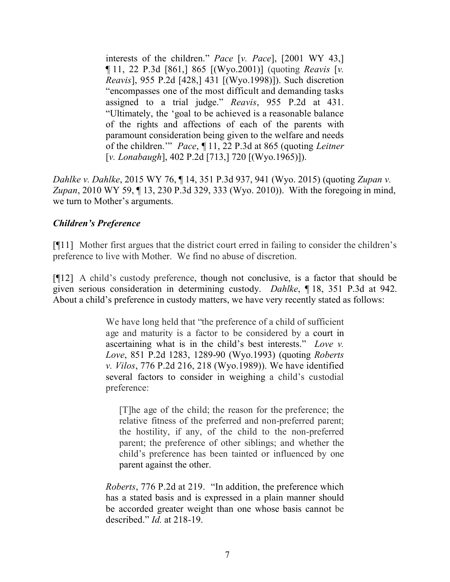interests of the children." *Pace* [*v. Pace*], [2001 WY 43,] ¶ 11, 22 P.3d [861,] 865 [(Wyo.2001)] (quoting *Reavis* [*v. Reavis*], 955 P.2d [428,] 431 [(Wyo.1998)]). Such discretion "encompasses one of the most difficult and demanding tasks assigned to a trial judge." *Reavis*, 955 P.2d at 431. "Ultimately, the 'goal to be achieved is a reasonable balance of the rights and affections of each of the parents with paramount consideration being given to the welfare and needs of the children.'" *Pace*, ¶ 11, 22 P.3d at 865 (quoting *Leitner* [*v. Lonabaugh*], 402 P.2d [713,] 720 [(Wyo.1965)]).

*Dahlke v. Dahlke*, 2015 WY 76, ¶ 14, 351 P.3d 937, 941 (Wyo. 2015) (quoting *Zupan v. Zupan*, 2010 WY 59, ¶ 13, 230 P.3d 329, 333 (Wyo. 2010)). With the foregoing in mind, we turn to Mother's arguments.

# *Children's Preference*

[¶11] Mother first argues that the district court erred in failing to consider the children's preference to live with Mother. We find no abuse of discretion.

[¶12] A child's custody preference, though not conclusive, is a factor that should be given serious consideration in determining custody. *Dahlke*, ¶ 18, 351 P.3d at 942. About a child's preference in custody matters, we have very recently stated as follows:

> We have long held that "the preference of a child of sufficient" age and maturity is a factor to be considered by a court in ascertaining what is in the child's best interests." *Love v. Love*, 851 P.2d 1283, 1289-90 (Wyo.1993) (quoting *Roberts v. Vilos*, 776 P.2d 216, 218 (Wyo.1989)). We have identified several factors to consider in weighing a child's custodial preference:

[T]he age of the child; the reason for the preference; the relative fitness of the preferred and non-preferred parent; the hostility, if any, of the child to the non-preferred parent; the preference of other siblings; and whether the child's preference has been tainted or influenced by one parent against the other.

*Roberts*, 776 P.2d at 219. "In addition, the preference which has a stated basis and is expressed in a plain manner should be accorded greater weight than one whose basis cannot be described." *Id.* at 218-19.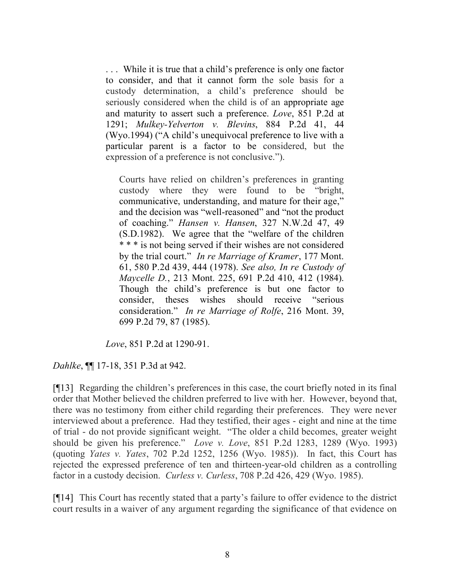. . . While it is true that a child's preference is only one factor to consider, and that it cannot form the sole basis for a custody determination, a child's preference should be seriously considered when the child is of an appropriate age and maturity to assert such a preference. *Love*, 851 P.2d at 1291; *Mulkey-Yelverton v. Blevins*, 884 P.2d 41, 44 (Wyo.1994) ("A child's unequivocal preference to live with a particular parent is a factor to be considered, but the expression of a preference is not conclusive.").

Courts have relied on children's preferences in granting custody where they were found to be "bright, communicative, understanding, and mature for their age," and the decision was "well-reasoned" and "not the product of coaching." *Hansen v. Hansen*, 327 N.W.2d 47, 49 (S.D.1982). We agree that the "welfare of the children \* \* \* is not being served if their wishes are not considered by the trial court." *In re Marriage of Kramer*, 177 Mont. 61, 580 P.2d 439, 444 (1978). *See also, In re Custody of Maycelle D.*, 213 Mont. 225, 691 P.2d 410, 412 (1984). Though the child's preference is but one factor to consider, theses wishes should receive "serious consideration." *In re Marriage of Rolfe*, 216 Mont. 39, 699 P.2d 79, 87 (1985).

*Love*, 851 P.2d at 1290-91.

*Dahlke*, ¶¶ 17-18, 351 P.3d at 942.

[¶13] Regarding the children's preferences in this case, the court briefly noted in its final order that Mother believed the children preferred to live with her. However, beyond that, there was no testimony from either child regarding their preferences. They were never interviewed about a preference. Had they testified, their ages - eight and nine at the time of trial - do not provide significant weight. "The older a child becomes, greater weight should be given his preference." *Love v. Love*, 851 P.2d 1283, 1289 (Wyo. 1993) (quoting *Yates v. Yates*, 702 P.2d 1252, 1256 (Wyo. 1985)).In fact, this Court has rejected the expressed preference of ten and thirteen-year-old children as a controlling factor in a custody decision. *Curless v. Curless*, 708 P.2d 426, 429 (Wyo. 1985).

[¶14] This Court has recently stated that a party's failure to offer evidence to the district court results in a waiver of any argument regarding the significance of that evidence on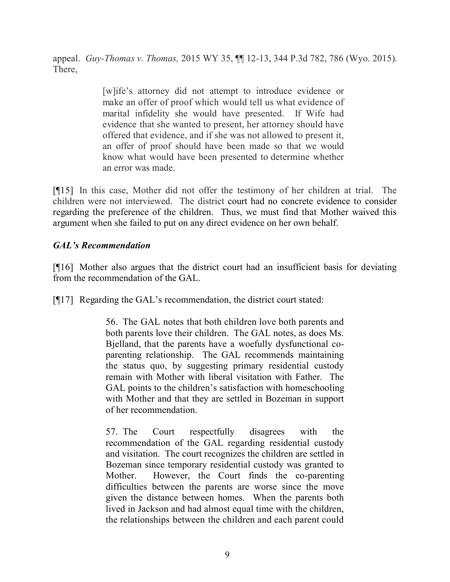appeal. *Guy-Thomas v. Thomas,* 2015 WY 35, ¶¶ 12-13, 344 P.3d 782, 786 (Wyo. 2015). There,

> [w]ife's attorney did not attempt to introduce evidence or make an offer of proof which would tell us what evidence of marital infidelity she would have presented. If Wife had evidence that she wanted to present, her attorney should have offered that evidence, and if she was not allowed to present it, an offer of proof should have been made so that we would know what would have been presented to determine whether an error was made.

[¶15] In this case, Mother did not offer the testimony of her children at trial. The children were not interviewed. The district court had no concrete evidence to consider regarding the preference of the children. Thus, we must find that Mother waived this argument when she failed to put on any direct evidence on her own behalf.

# *GAL's Recommendation*

[¶16] Mother also argues that the district court had an insufficient basis for deviating from the recommendation of the GAL.

[¶17] Regarding the GAL's recommendation, the district court stated:

56. The GAL notes that both children love both parents and both parents love their children. The GAL notes, as does Ms. Bjelland, that the parents have a woefully dysfunctional coparenting relationship. The GAL recommends maintaining the status quo, by suggesting primary residential custody remain with Mother with liberal visitation with Father. The GAL points to the children's satisfaction with homeschooling with Mother and that they are settled in Bozeman in support of her recommendation.

57. The Court respectfully disagrees with the recommendation of the GAL regarding residential custody and visitation. The court recognizes the children are settled in Bozeman since temporary residential custody was granted to Mother. However, the Court finds the co-parenting difficulties between the parents are worse since the move given the distance between homes. When the parents both lived in Jackson and had almost equal time with the children, the relationships between the children and each parent could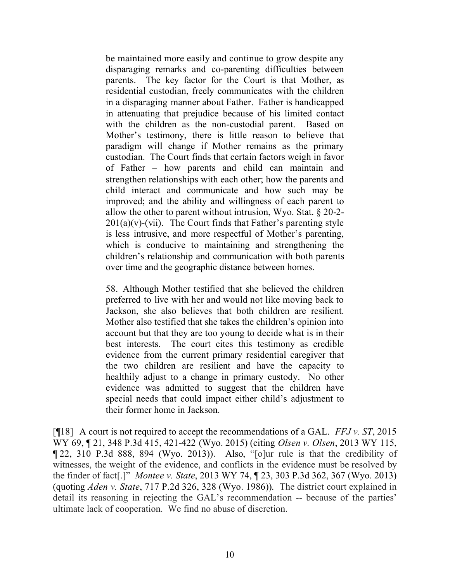be maintained more easily and continue to grow despite any disparaging remarks and co-parenting difficulties between parents. The key factor for the Court is that Mother, as residential custodian, freely communicates with the children in a disparaging manner about Father. Father is handicapped in attenuating that prejudice because of his limited contact with the children as the non-custodial parent. Based on Mother's testimony, there is little reason to believe that paradigm will change if Mother remains as the primary custodian. The Court finds that certain factors weigh in favor of Father – how parents and child can maintain and strengthen relationships with each other; how the parents and child interact and communicate and how such may be improved; and the ability and willingness of each parent to allow the other to parent without intrusion, Wyo. Stat. § 20-2-  $201(a)(v)$ -(vii). The Court finds that Father's parenting style is less intrusive, and more respectful of Mother's parenting, which is conducive to maintaining and strengthening the children's relationship and communication with both parents over time and the geographic distance between homes.

58. Although Mother testified that she believed the children preferred to live with her and would not like moving back to Jackson, she also believes that both children are resilient. Mother also testified that she takes the children's opinion into account but that they are too young to decide what is in their best interests. The court cites this testimony as credible evidence from the current primary residential caregiver that the two children are resilient and have the capacity to healthily adjust to a change in primary custody. No other evidence was admitted to suggest that the children have special needs that could impact either child's adjustment to their former home in Jackson.

[¶18] A court is not required to accept the recommendations of a GAL. *FFJ v. ST*, 2015 WY 69, ¶ 21, 348 P.3d 415, 421-422 (Wyo. 2015) (citing *Olsen v. Olsen*, 2013 WY 115, ¶ 22, 310 P.3d 888, 894 (Wyo. 2013)). Also, "[o]ur rule is that the credibility of witnesses, the weight of the evidence, and conflicts in the evidence must be resolved by the finder of fact[.]" *Montee v. State*, 2013 WY 74, ¶ 23, 303 P.3d 362, 367 (Wyo. 2013) (quoting *Aden v. State*, 717 P.2d 326, 328 (Wyo. 1986)). The district court explained in detail its reasoning in rejecting the GAL's recommendation -- because of the parties' ultimate lack of cooperation. We find no abuse of discretion.